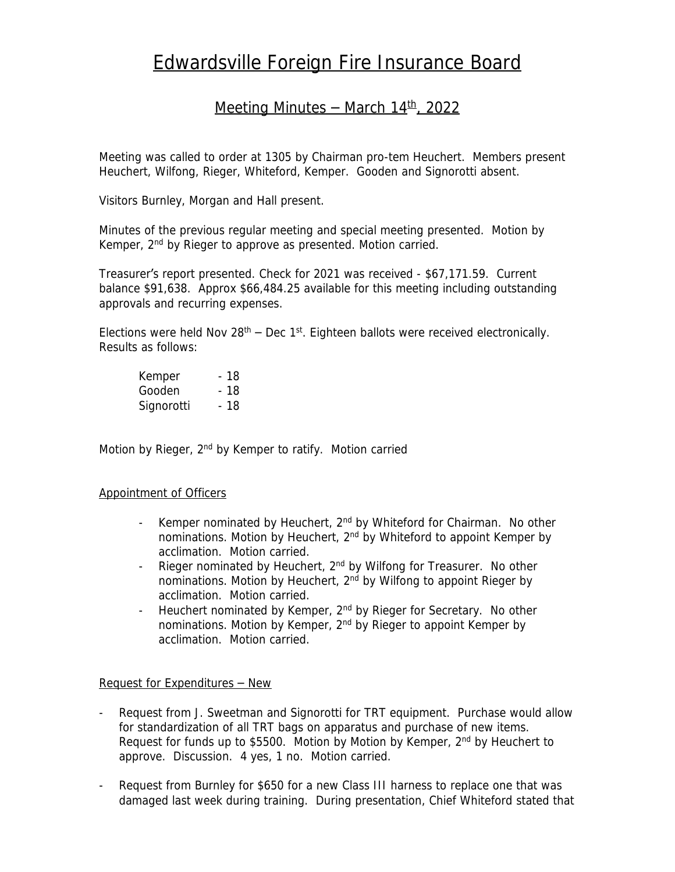# Edwardsville Foreign Fire Insurance Board

## Meeting Minutes – March  $14<sup>th</sup>$ , 2022

Meeting was called to order at 1305 by Chairman pro-tem Heuchert. Members present Heuchert, Wilfong, Rieger, Whiteford, Kemper. Gooden and Signorotti absent.

Visitors Burnley, Morgan and Hall present.

Minutes of the previous regular meeting and special meeting presented. Motion by Kemper, 2<sup>nd</sup> by Rieger to approve as presented. Motion carried.

Treasurer's report presented. Check for 2021 was received - \$67,171.59. Current balance \$91,638. Approx \$66,484.25 available for this meeting including outstanding approvals and recurring expenses.

Elections were held Nov  $28<sup>th</sup>$  – Dec 1<sup>st</sup>. Eighteen ballots were received electronically. Results as follows:

| Kemper     | - 18 |
|------------|------|
| Gooden     | - 18 |
| Signorotti | - 18 |

Motion by Rieger, 2<sup>nd</sup> by Kemper to ratify. Motion carried

#### Appointment of Officers

- Kemper nominated by Heuchert, 2<sup>nd</sup> by Whiteford for Chairman. No other nominations. Motion by Heuchert, 2<sup>nd</sup> by Whiteford to appoint Kemper by acclimation. Motion carried.
- Rieger nominated by Heuchert, 2<sup>nd</sup> by Wilfong for Treasurer. No other nominations. Motion by Heuchert, 2<sup>nd</sup> by Wilfong to appoint Rieger by acclimation. Motion carried.
- Heuchert nominated by Kemper, 2<sup>nd</sup> by Rieger for Secretary. No other nominations. Motion by Kemper, 2nd by Rieger to appoint Kemper by acclimation. Motion carried.

#### Request for Expenditures – New

- Request from J. Sweetman and Signorotti for TRT equipment. Purchase would allow for standardization of all TRT bags on apparatus and purchase of new items. Request for funds up to \$5500. Motion by Motion by Kemper, 2<sup>nd</sup> by Heuchert to approve. Discussion. 4 yes, 1 no. Motion carried.
- Request from Burnley for \$650 for a new Class III harness to replace one that was damaged last week during training. During presentation, Chief Whiteford stated that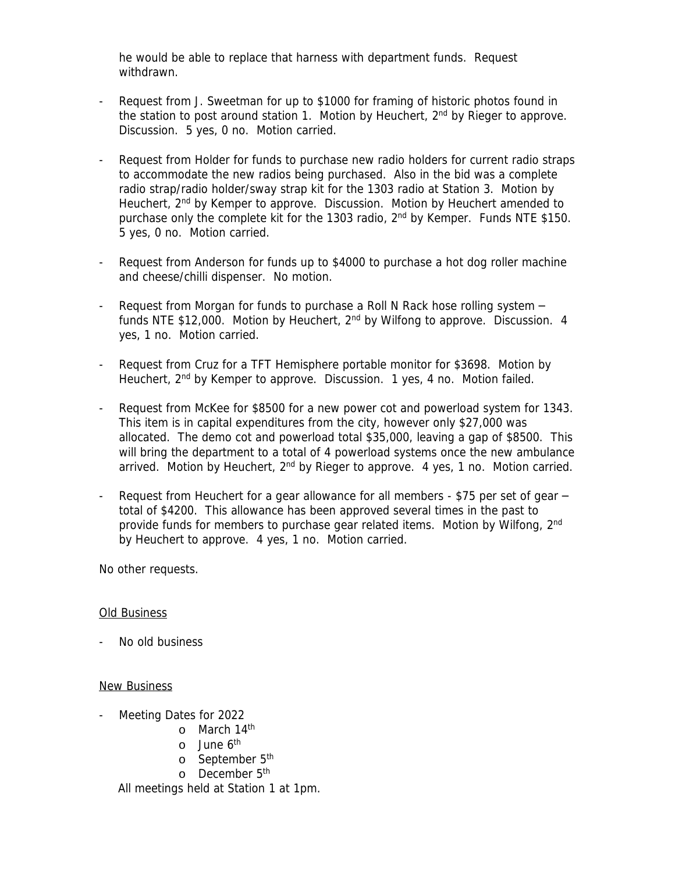he would be able to replace that harness with department funds. Request withdrawn.

- Request from J. Sweetman for up to \$1000 for framing of historic photos found in the station to post around station 1. Motion by Heuchert, 2<sup>nd</sup> by Rieger to approve. Discussion. 5 yes, 0 no. Motion carried.
- Request from Holder for funds to purchase new radio holders for current radio straps to accommodate the new radios being purchased. Also in the bid was a complete radio strap/radio holder/sway strap kit for the 1303 radio at Station 3. Motion by Heuchert, 2<sup>nd</sup> by Kemper to approve. Discussion. Motion by Heuchert amended to purchase only the complete kit for the 1303 radio, 2<sup>nd</sup> by Kemper. Funds NTE \$150. 5 yes, 0 no. Motion carried.
- Request from Anderson for funds up to \$4000 to purchase a hot dog roller machine and cheese/chilli dispenser. No motion.
- Request from Morgan for funds to purchase a Roll N Rack hose rolling system funds NTE \$12,000. Motion by Heuchert,  $2<sup>nd</sup>$  by Wilfong to approve. Discussion. 4 yes, 1 no. Motion carried.
- Request from Cruz for a TFT Hemisphere portable monitor for \$3698. Motion by Heuchert, 2nd by Kemper to approve. Discussion. 1 yes, 4 no. Motion failed.
- Request from McKee for \$8500 for a new power cot and powerload system for 1343. This item is in capital expenditures from the city, however only \$27,000 was allocated. The demo cot and powerload total \$35,000, leaving a gap of \$8500. This will bring the department to a total of 4 powerload systems once the new ambulance arrived. Motion by Heuchert,  $2<sup>nd</sup>$  by Rieger to approve. 4 yes, 1 no. Motion carried.
- Request from Heuchert for a gear allowance for all members  $$75$  per set of gear  $$ total of \$4200. This allowance has been approved several times in the past to provide funds for members to purchase gear related items. Motion by Wilfong, 2<sup>nd</sup> by Heuchert to approve. 4 yes, 1 no. Motion carried.

No other requests.

### Old Business

- No old business

#### New Business

- Meeting Dates for 2022
	- o March 14<sup>th</sup>
	- o June 6<sup>th</sup>
	- o September 5<sup>th</sup>
	- o December 5<sup>th</sup>

All meetings held at Station 1 at 1pm.